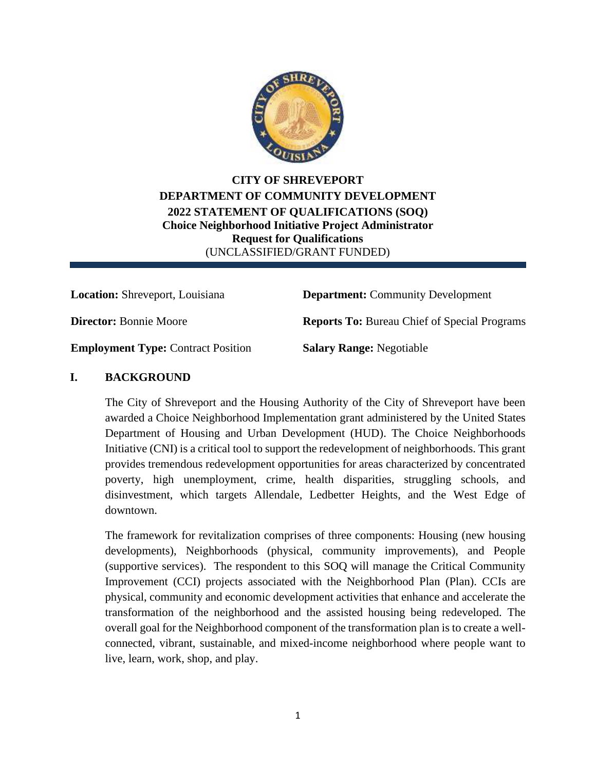

**CITY OF SHREVEPORT DEPARTMENT OF COMMUNITY DEVELOPMENT 2022 STATEMENT OF QUALIFICATIONS (SOQ) Choice Neighborhood Initiative Project Administrator Request for Qualifications** (UNCLASSIFIED/GRANT FUNDED)

**Location:** Shreveport, Louisiana **Department:** Community Development

**Director:** Bonnie Moore **Reports To:** Bureau Chief of Special Programs

**Employment Type:** Contract Position **Salary Range:** Negotiable

# **I. BACKGROUND**

The City of Shreveport and the Housing Authority of the City of Shreveport have been awarded a Choice Neighborhood Implementation grant administered by the United States Department of Housing and Urban Development (HUD). The Choice Neighborhoods Initiative (CNI) is a critical tool to support the redevelopment of neighborhoods. This grant provides tremendous redevelopment opportunities for areas characterized by concentrated poverty, high unemployment, crime, health disparities, struggling schools, and disinvestment, which targets Allendale, Ledbetter Heights, and the West Edge of downtown.

The framework for revitalization comprises of three components: Housing (new housing developments), Neighborhoods (physical, community improvements), and People (supportive services). The respondent to this SOQ will manage the Critical Community Improvement (CCI) projects associated with the Neighborhood Plan (Plan). CCIs are physical, community and economic development activities that enhance and accelerate the transformation of the neighborhood and the assisted housing being redeveloped. The overall goal for the Neighborhood component of the transformation plan is to create a wellconnected, vibrant, sustainable, and mixed-income neighborhood where people want to live, learn, work, shop, and play.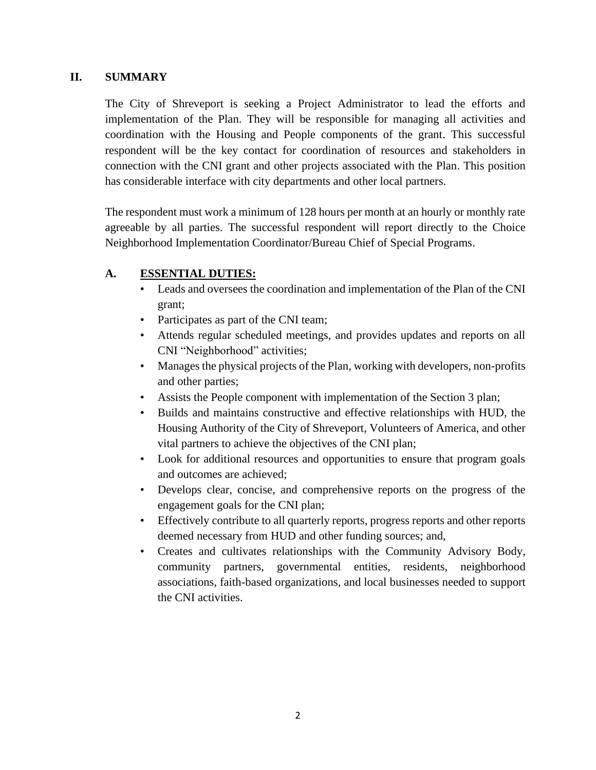### **II. SUMMARY**

The City of Shreveport is seeking a Project Administrator to lead the efforts and implementation of the Plan. They will be responsible for managing all activities and coordination with the Housing and People components of the grant. This successful respondent will be the key contact for coordination of resources and stakeholders in connection with the CNI grant and other projects associated with the Plan. This position has considerable interface with city departments and other local partners.

The respondent must work a minimum of 128 hours per month at an hourly or monthly rate agreeable by all parties. The successful respondent will report directly to the Choice Neighborhood Implementation Coordinator/Bureau Chief of Special Programs.

### **A. ESSENTIAL DUTIES:**

- Leads and oversees the coordination and implementation of the Plan of the CNI grant;
- Participates as part of the CNI team;
- Attends regular scheduled meetings, and provides updates and reports on all CNI "Neighborhood" activities;
- Manages the physical projects of the Plan, working with developers, non-profits and other parties;
- Assists the People component with implementation of the Section 3 plan;
- Builds and maintains constructive and effective relationships with HUD, the Housing Authority of the City of Shreveport, Volunteers of America, and other vital partners to achieve the objectives of the CNI plan;
- Look for additional resources and opportunities to ensure that program goals and outcomes are achieved;
- Develops clear, concise, and comprehensive reports on the progress of the engagement goals for the CNI plan;
- Effectively contribute to all quarterly reports, progress reports and other reports deemed necessary from HUD and other funding sources; and,
- Creates and cultivates relationships with the Community Advisory Body, community partners, governmental entities, residents, neighborhood associations, faith-based organizations, and local businesses needed to support the CNI activities.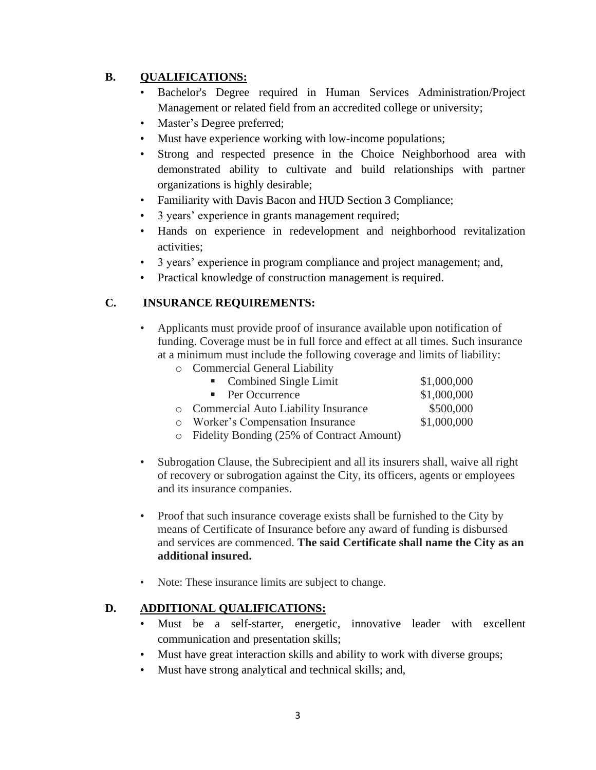# **B. QUALIFICATIONS:**

- Bachelor's Degree required in Human Services Administration/Project Management or related field from an accredited college or university;
- Master's Degree preferred;
- Must have experience working with low-income populations;
- Strong and respected presence in the Choice Neighborhood area with demonstrated ability to cultivate and build relationships with partner organizations is highly desirable;
- Familiarity with Davis Bacon and HUD Section 3 Compliance;
- 3 years' experience in grants management required;
- Hands on experience in redevelopment and neighborhood revitalization activities;
- 3 years' experience in program compliance and project management; and,
- Practical knowledge of construction management is required.

# **C. INSURANCE REQUIREMENTS:**

• Applicants must provide proof of insurance available upon notification of funding. Coverage must be in full force and effect at all times. Such insurance at a minimum must include the following coverage and limits of liability:

| o Commercial General Liability              |             |
|---------------------------------------------|-------------|
| • Combined Single Limit                     | \$1,000,000 |
| • Per Occurrence                            | \$1,000,000 |
| o Commercial Auto Liability Insurance       | \$500,000   |
| o Worker's Compensation Insurance           | \$1,000,000 |
| • Fidelity Bonding (25% of Contract Amount) |             |

- Subrogation Clause, the Subrecipient and all its insurers shall, waive all right of recovery or subrogation against the City, its officers, agents or employees and its insurance companies.
- Proof that such insurance coverage exists shall be furnished to the City by means of Certificate of Insurance before any award of funding is disbursed and services are commenced. **The said Certificate shall name the City as an additional insured.**
- Note: These insurance limits are subject to change.

# **D. ADDITIONAL QUALIFICATIONS:**

- Must be a self-starter, energetic, innovative leader with excellent communication and presentation skills;
- Must have great interaction skills and ability to work with diverse groups;
- Must have strong analytical and technical skills; and,